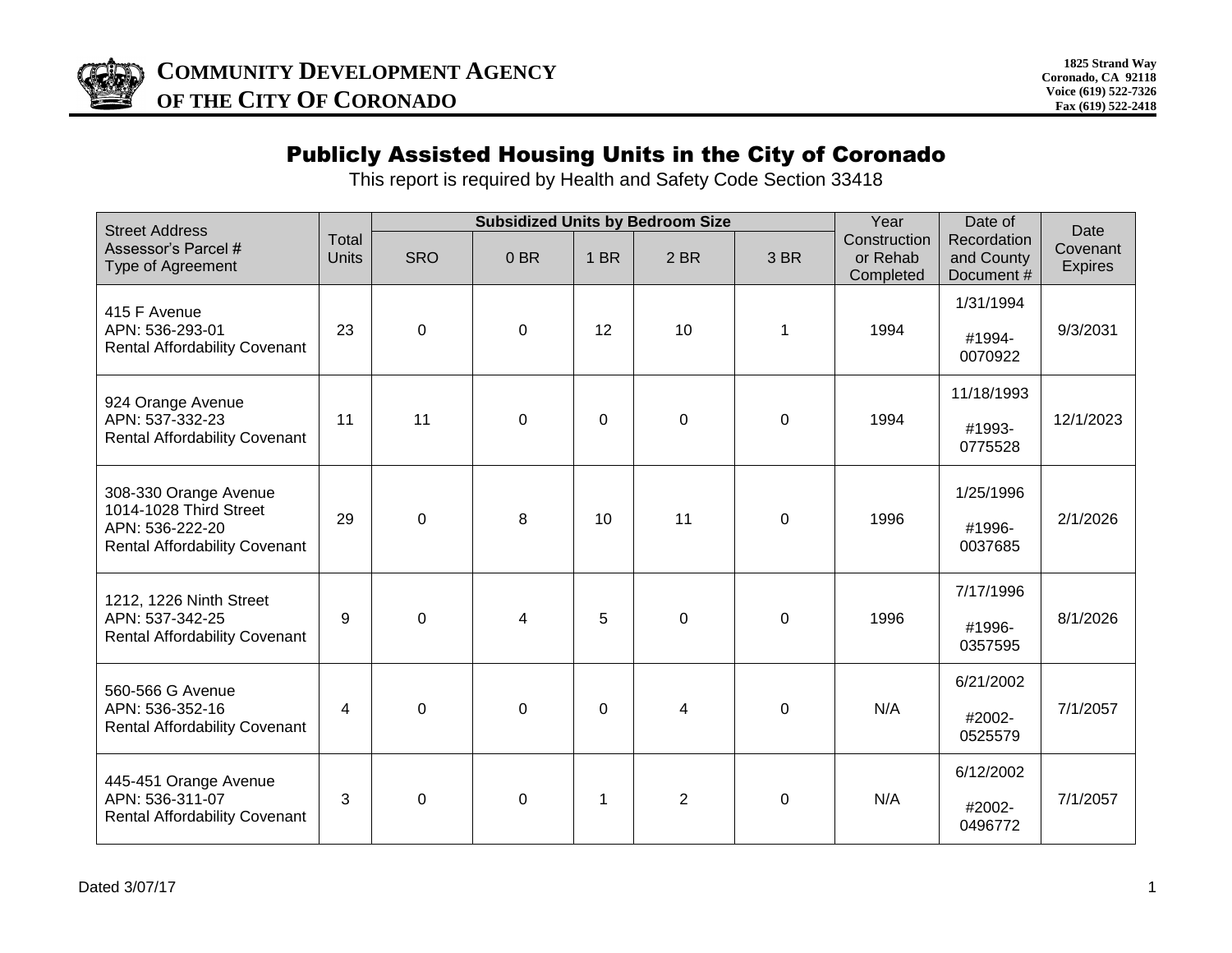

## Publicly Assisted Housing Units in the City of Coronado

This report is required by Health and Safety Code Section 33418

| <b>Street Address</b>                                                                                      |                       | <b>Subsidized Units by Bedroom Size</b> |                 | Year        | Date of        |             |                                       |                                         |                                    |
|------------------------------------------------------------------------------------------------------------|-----------------------|-----------------------------------------|-----------------|-------------|----------------|-------------|---------------------------------------|-----------------------------------------|------------------------------------|
| Assessor's Parcel #<br>Type of Agreement                                                                   | Total<br><b>Units</b> | <b>SRO</b>                              | 0 <sub>BR</sub> | 1 BR        | 2 BR           | 3 BR        | Construction<br>or Rehab<br>Completed | Recordation<br>and County<br>Document # | Date<br>Covenant<br><b>Expires</b> |
| 415 F Avenue<br>APN: 536-293-01<br><b>Rental Affordability Covenant</b>                                    | 23                    | $\mathbf 0$                             | $\Omega$        | 12          | 10             | 1           | 1994                                  | 1/31/1994<br>#1994-<br>0070922          | 9/3/2031                           |
| 924 Orange Avenue<br>APN: 537-332-23<br><b>Rental Affordability Covenant</b>                               | 11                    | 11                                      | $\mathbf 0$     | $\mathbf 0$ | $\mathbf 0$    | $\mathbf 0$ | 1994                                  | 11/18/1993<br>#1993-<br>0775528         | 12/1/2023                          |
| 308-330 Orange Avenue<br>1014-1028 Third Street<br>APN: 536-222-20<br><b>Rental Affordability Covenant</b> | 29                    | $\Omega$                                | 8               | 10          | 11             | $\mathbf 0$ | 1996                                  | 1/25/1996<br>#1996-<br>0037685          | 2/1/2026                           |
| 1212, 1226 Ninth Street<br>APN: 537-342-25<br><b>Rental Affordability Covenant</b>                         | 9                     | $\mathbf 0$                             | 4               | 5           | $\mathbf 0$    | $\mathbf 0$ | 1996                                  | 7/17/1996<br>#1996-<br>0357595          | 8/1/2026                           |
| 560-566 G Avenue<br>APN: 536-352-16<br><b>Rental Affordability Covenant</b>                                | 4                     | $\mathbf 0$                             | $\mathbf 0$     | $\mathbf 0$ | 4              | $\mathbf 0$ | N/A                                   | 6/21/2002<br>#2002-<br>0525579          | 7/1/2057                           |
| 445-451 Orange Avenue<br>APN: 536-311-07<br><b>Rental Affordability Covenant</b>                           | 3                     | 0                                       | 0               | 1           | $\overline{2}$ | 0           | N/A                                   | 6/12/2002<br>#2002-<br>0496772          | 7/1/2057                           |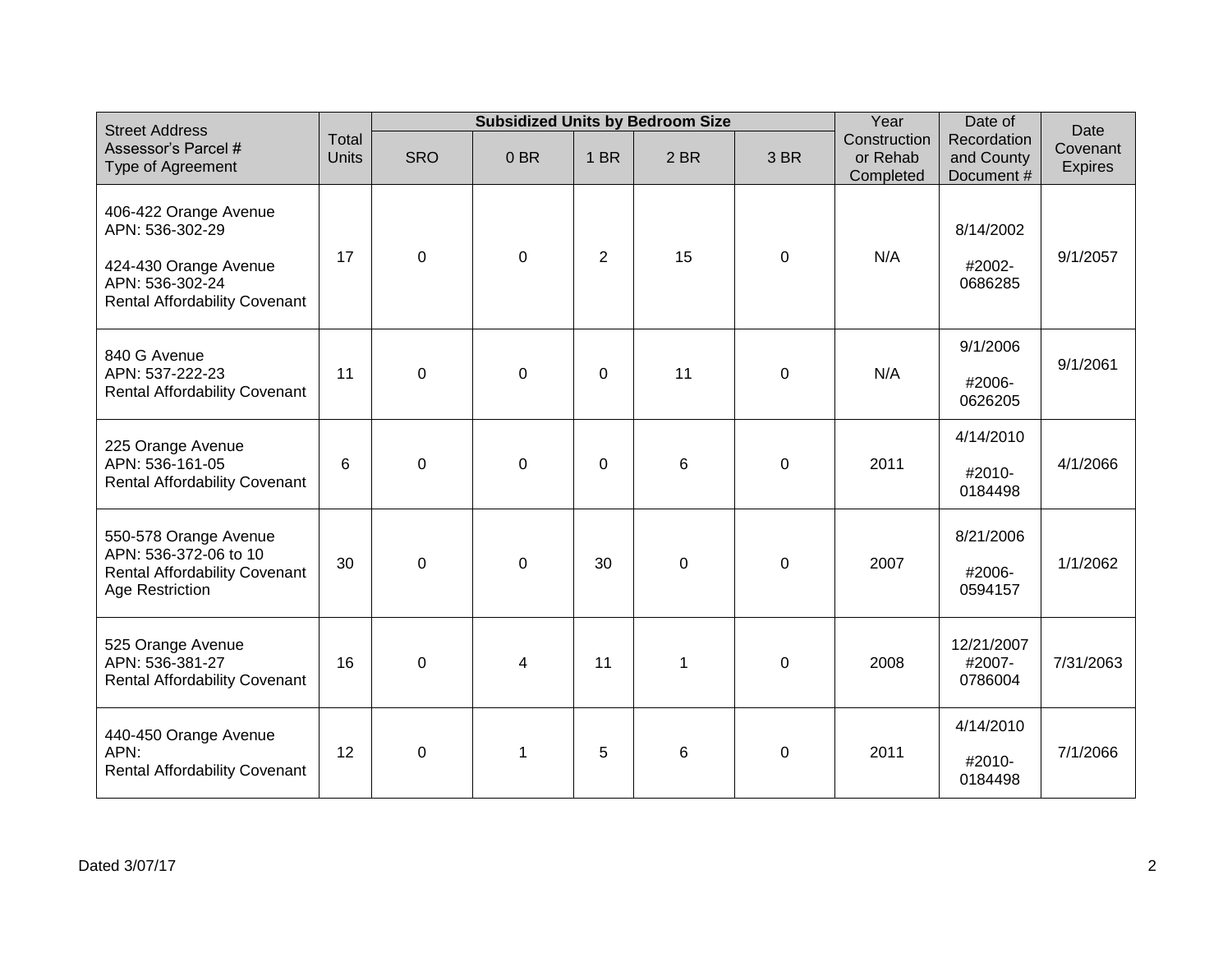| <b>Street Address</b>                                                                                                        |                       | <b>Subsidized Units by Bedroom Size</b> |                |                |             |                  | Year                                  | Date of                                 | Date                       |
|------------------------------------------------------------------------------------------------------------------------------|-----------------------|-----------------------------------------|----------------|----------------|-------------|------------------|---------------------------------------|-----------------------------------------|----------------------------|
| Assessor's Parcel #<br>Type of Agreement                                                                                     | Total<br><b>Units</b> | <b>SRO</b>                              | 0BR            | 1 BR           | 2 BR        | 3 BR             | Construction<br>or Rehab<br>Completed | Recordation<br>and County<br>Document # | Covenant<br><b>Expires</b> |
| 406-422 Orange Avenue<br>APN: 536-302-29<br>424-430 Orange Avenue<br>APN: 536-302-24<br><b>Rental Affordability Covenant</b> | 17                    | $\pmb{0}$                               | $\pmb{0}$      | $\overline{2}$ | 15          | $\mathbf 0$      | N/A                                   | 8/14/2002<br>#2002-<br>0686285          | 9/1/2057                   |
| 840 G Avenue<br>APN: 537-222-23<br><b>Rental Affordability Covenant</b>                                                      | 11                    | $\mathbf 0$                             | $\mathbf 0$    | 0              | 11          | $\mathbf 0$      | N/A                                   | 9/1/2006<br>#2006-<br>0626205           | 9/1/2061                   |
| 225 Orange Avenue<br>APN: 536-161-05<br><b>Rental Affordability Covenant</b>                                                 | 6                     | $\mathbf 0$                             | $\overline{0}$ | 0              | 6           | $\mathbf 0$      | 2011                                  | 4/14/2010<br>#2010-<br>0184498          | 4/1/2066                   |
| 550-578 Orange Avenue<br>APN: 536-372-06 to 10<br><b>Rental Affordability Covenant</b><br>Age Restriction                    | 30                    | $\overline{0}$                          | $\mathbf 0$    | 30             | $\mathbf 0$ | $\mathbf 0$      | 2007                                  | 8/21/2006<br>#2006-<br>0594157          | 1/1/2062                   |
| 525 Orange Avenue<br>APN: 536-381-27<br><b>Rental Affordability Covenant</b>                                                 | 16                    | $\pmb{0}$                               | 4              | 11             | 1           | $\pmb{0}$        | 2008                                  | 12/21/2007<br>#2007-<br>0786004         | 7/31/2063                  |
| 440-450 Orange Avenue<br>APN:<br><b>Rental Affordability Covenant</b>                                                        | 12                    | $\boldsymbol{0}$                        | $\mathbf 1$    | 5              | 6           | $\boldsymbol{0}$ | 2011                                  | 4/14/2010<br>#2010-<br>0184498          | 7/1/2066                   |